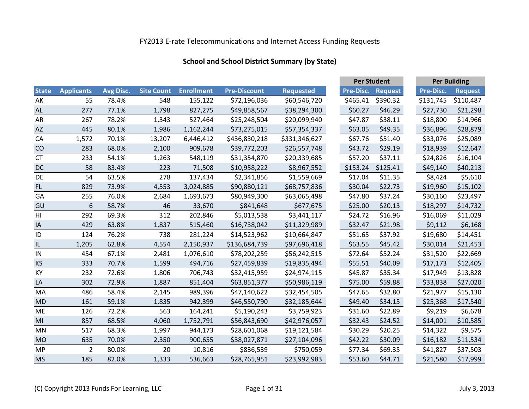## **School and School District Summary (by State)**

|                |                   |           |                   |                   |                     |                  |                  | <b>Per Student</b> |                  | <b>Per Building</b> |  |
|----------------|-------------------|-----------|-------------------|-------------------|---------------------|------------------|------------------|--------------------|------------------|---------------------|--|
| <b>State</b>   | <b>Applicants</b> | Avg Disc. | <b>Site Count</b> | <b>Enrollment</b> | <b>Pre-Discount</b> | <b>Requested</b> | <b>Pre-Disc.</b> | <b>Request</b>     | <b>Pre-Disc.</b> | <b>Request</b>      |  |
| AK             | 55                | 78.4%     | 548               | 155,122           | \$72,196,036        | \$60,546,720     | \$465.41         | \$390.32           | \$131,745        | \$110,487           |  |
| <b>AL</b>      | 277               | 77.1%     | 1,798             | 827,275           | \$49,858,567        | \$38,294,300     | \$60.27          | \$46.29            | \$27,730         | \$21,298            |  |
| AR             | 267               | 78.2%     | 1,343             | 527,464           | \$25,248,504        | \$20,099,940     | \$47.87          | \$38.11            | \$18,800         | \$14,966            |  |
| AZ             | 445               | 80.1%     | 1,986             | 1,162,244         | \$73,275,015        | \$57,354,337     | \$63.05          | \$49.35            | \$36,896         | \$28,879            |  |
| CA             | 1,572             | 70.1%     | 13,207            | 6,446,412         | \$436,830,218       | \$331,346,627    | \$67.76          | \$51.40            | \$33,076         | \$25,089            |  |
| CO             | 283               | 68.0%     | 2,100             | 909,678           | \$39,772,203        | \$26,557,748     | \$43.72          | \$29.19            | \$18,939         | \$12,647            |  |
| <b>CT</b>      | 233               | 54.1%     | 1,263             | 548,119           | \$31,354,870        | \$20,339,685     | \$57.20          | \$37.11            | \$24,826         | \$16,104            |  |
| DC             | 58                | 83.4%     | 223               | 71,508            | \$10,958,222        | \$8,967,552      | \$153.24         | \$125.41           | \$49,140         | \$40,213            |  |
| DE             | 54                | 63.5%     | 278               | 137,434           | \$2,341,856         | \$1,559,669      | \$17.04          | \$11.35            | \$8,424          | \$5,610             |  |
| FL             | 829               | 73.9%     | 4,553             | 3,024,885         | \$90,880,121        | \$68,757,836     | \$30.04          | \$22.73            | \$19,960         | \$15,102            |  |
| GA             | 255               | 76.0%     | 2,684             | 1,693,673         | \$80,949,300        | \$63,065,498     | \$47.80          | \$37.24            | \$30,160         | \$23,497            |  |
| GU             | 6                 | 58.7%     | 46                | 33,670            | \$841,648           | \$677,675        | \$25.00          | \$20.13            | \$18,297         | \$14,732            |  |
| H <sub>l</sub> | 292               | 69.3%     | 312               | 202,846           | \$5,013,538         | \$3,441,117      | \$24.72          | \$16.96            | \$16,069         | \$11,029            |  |
| IA             | 429               | 63.8%     | 1,837             | 515,460           | \$16,738,042        | \$11,329,989     | \$32.47          | \$21.98            | \$9,112          | \$6,168             |  |
| ID             | 124               | 76.2%     | 738               | 281,224           | \$14,523,962        | \$10,664,847     | \$51.65          | \$37.92            | \$19,680         | \$14,451            |  |
| IL             | 1,205             | 62.8%     | 4,554             | 2,150,937         | \$136,684,739       | \$97,696,418     | \$63.55          | \$45.42            | \$30,014         | \$21,453            |  |
| IN             | 454               | 67.1%     | 2,481             | 1,076,610         | \$78,202,259        | \$56,242,515     | \$72.64          | \$52.24            | \$31,520         | \$22,669            |  |
| <b>KS</b>      | 333               | 70.7%     | 1,599             | 494,716           | \$27,459,839        | \$19,835,494     | \$55.51          | \$40.09            | \$17,173         | \$12,405            |  |
| KY             | 232               | 72.6%     | 1,806             | 706,743           | \$32,415,959        | \$24,974,115     | \$45.87          | \$35.34            | \$17,949         | \$13,828            |  |
| LA             | 302               | 72.9%     | 1,887             | 851,404           | \$63,851,377        | \$50,986,119     | \$75.00          | \$59.88            | \$33,838         | \$27,020            |  |
| MA             | 486               | 58.4%     | 2,145             | 989,396           | \$47,140,622        | \$32,454,505     | \$47.65          | \$32.80            | \$21,977         | \$15,130            |  |
| <b>MD</b>      | 161               | 59.1%     | 1,835             | 942,399           | \$46,550,790        | \$32,185,644     | \$49.40          | \$34.15            | \$25,368         | \$17,540            |  |
| <b>ME</b>      | 126               | 72.2%     | 563               | 164,241           | \$5,190,243         | \$3,759,923      | \$31.60          | \$22.89            | \$9,219          | \$6,678             |  |
| MI             | 857               | 68.5%     | 4,060             | 1,752,791         | \$56,843,690        | \$42,976,057     | \$32.43          | \$24.52            | \$14,001         | \$10,585            |  |
| MN             | 517               | 68.3%     | 1,997             | 944,173           | \$28,601,068        | \$19,121,584     | \$30.29          | \$20.25            | \$14,322         | \$9,575             |  |
| <b>MO</b>      | 635               | 70.0%     | 2,350             | 900,655           | \$38,027,871        | \$27,104,096     | \$42.22          | \$30.09            | \$16,182         | \$11,534            |  |
| <b>MP</b>      | 2                 | 80.0%     | 20                | 10,816            | \$836,539           | \$750,059        | \$77.34          | \$69.35            | \$41,827         | \$37,503            |  |
| <b>MS</b>      | 185               | 82.0%     | 1,333             | 536,663           | \$28,765,951        | \$23,992,983     | \$53.60          | \$44.71            | \$21,580         | \$17,999            |  |